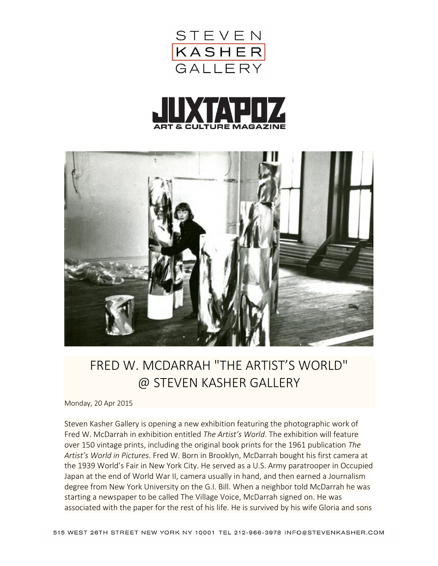





## FRED W. MCDARRAH "THE ARTIST'S WORLD" @ STEVEN KASHER GALLERY

Monday, 20 Apr 2015

Steven Kasher Gallery is opening a new exhibition featuring the photographic work of Fred W. McDarrah in exhibition entitled *The Artist's World*. The exhibition will feature over 150 vintage prints, including the original book prints for the 1961 publication *The Artist's World in Pictures*. Fred W. Born in Brooklyn, McDarrah bought his first camera at the 1939 World's Fair in New York City. He served as a U.S. Army paratrooper in Occupied Japan at the end of World War II, camera usually in hand, and then earned a Journalism degree from New York University on the G.I. Bill. When a neighbor told McDarrah he was starting a newspaper to be called The Village Voice, McDarrah signed on. He was associated with the paper for the rest of his life. He is survived by his wife Gloria and sons